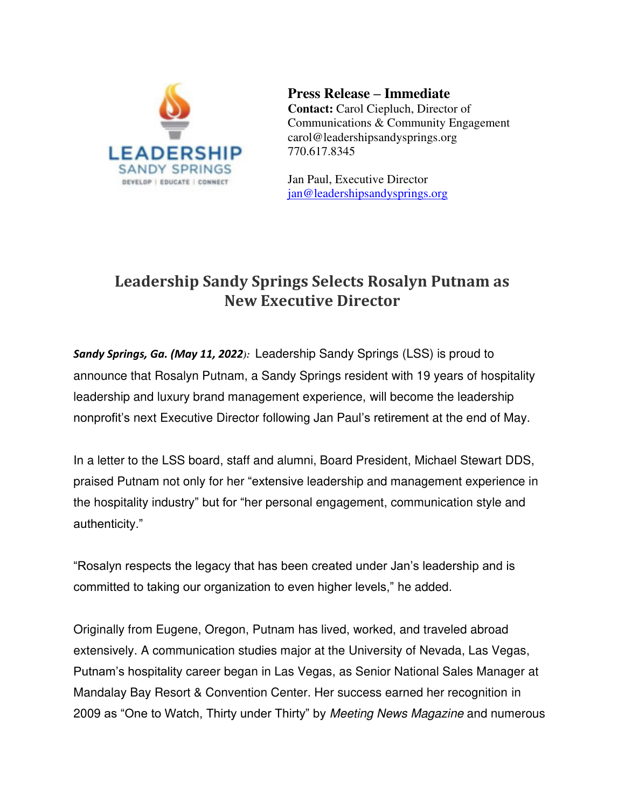

**Press Release – Immediate Contact:** Carol Ciepluch, Director of Communications & Community Engagement carol@leadershipsandysprings.org 770.617.8345

Jan Paul, Executive Director [jan@leadershipsandysprings.org](mailto:jan@leadershipsandysprings.org) 

## **Leadership Sandy Springs Selects Rosalyn Putnam as New Executive Director**

*Sandy Springs, Ga. (May 11, 2022):* Leadership Sandy Springs (LSS) is proud to announce that Rosalyn Putnam, a Sandy Springs resident with 19 years of hospitality leadership and luxury brand management experience, will become the leadership nonprofit's next Executive Director following Jan Paul's retirement at the end of May.

In a letter to the LSS board, staff and alumni, Board President, Michael Stewart DDS, praised Putnam not only for her "extensive leadership and management experience in the hospitality industry" but for "her personal engagement, communication style and authenticity."

"Rosalyn respects the legacy that has been created under Jan's leadership and is committed to taking our organization to even higher levels," he added.

Originally from Eugene, Oregon, Putnam has lived, worked, and traveled abroad extensively. A communication studies major at the University of Nevada, Las Vegas, Putnam's hospitality career began in Las Vegas, as Senior National Sales Manager at Mandalay Bay Resort & Convention Center. Her success earned her recognition in 2009 as "One to Watch, Thirty under Thirty" by Meeting News Magazine and numerous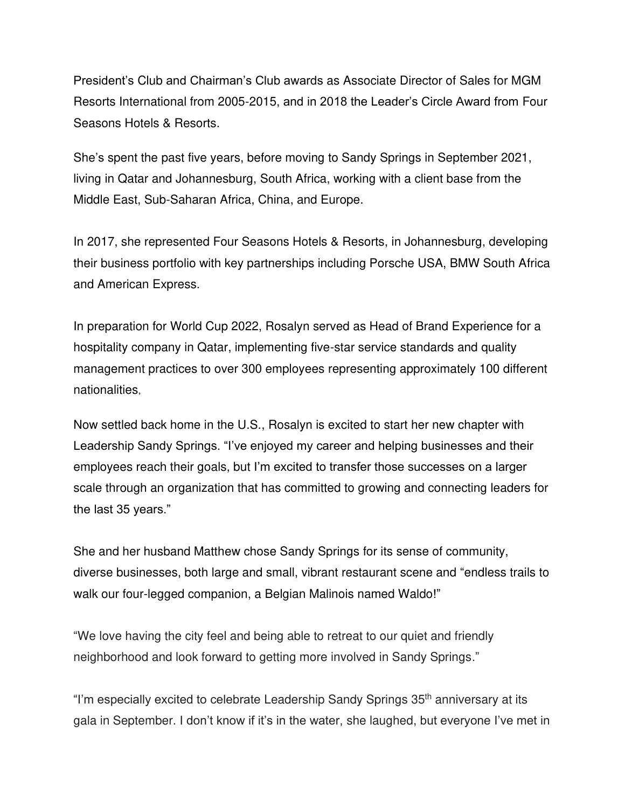President's Club and Chairman's Club awards as Associate Director of Sales for MGM Resorts International from 2005-2015, and in 2018 the Leader's Circle Award from Four Seasons Hotels & Resorts.

She's spent the past five years, before moving to Sandy Springs in September 2021, living in Qatar and Johannesburg, South Africa, working with a client base from the Middle East, Sub-Saharan Africa, China, and Europe.

In 2017, she represented Four Seasons Hotels & Resorts, in Johannesburg, developing their business portfolio with key partnerships including Porsche USA, BMW South Africa and American Express.

In preparation for World Cup 2022, Rosalyn served as Head of Brand Experience for a hospitality company in Qatar, implementing five-star service standards and quality management practices to over 300 employees representing approximately 100 different nationalities,

Now settled back home in the U.S., Rosalyn is excited to start her new chapter with Leadership Sandy Springs. "I've enjoyed my career and helping businesses and their employees reach their goals, but I'm excited to transfer those successes on a larger scale through an organization that has committed to growing and connecting leaders for the last 35 years."

She and her husband Matthew chose Sandy Springs for its sense of community, diverse businesses, both large and small, vibrant restaurant scene and "endless trails to walk our four-legged companion, a Belgian Malinois named Waldo!"

"We love having the city feel and being able to retreat to our quiet and friendly neighborhood and look forward to getting more involved in Sandy Springs."

"I'm especially excited to celebrate Leadership Sandy Springs 35<sup>th</sup> anniversary at its gala in September. I don't know if it's in the water, she laughed, but everyone I've met in